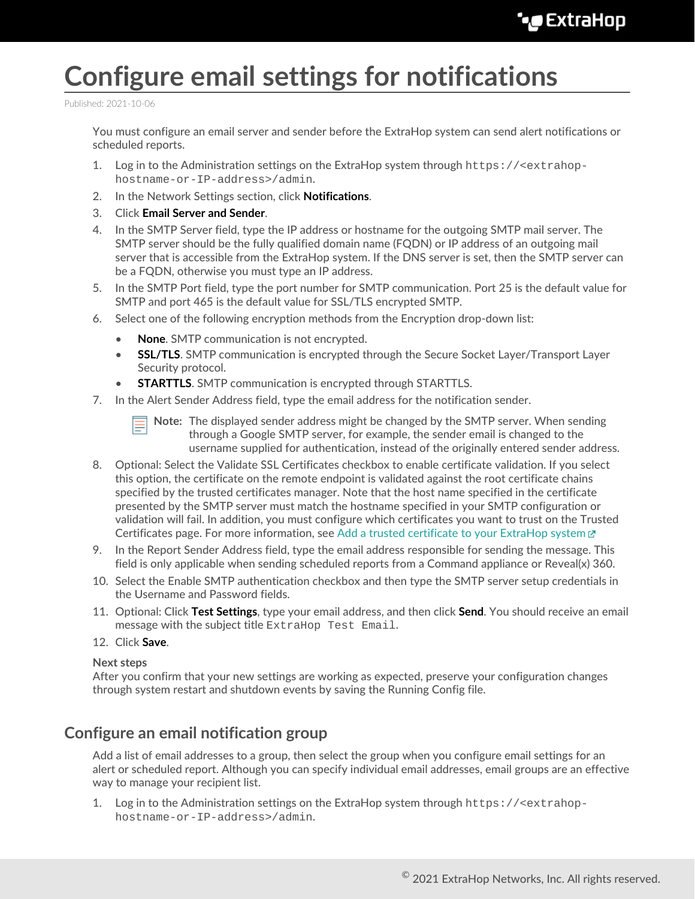# **Configure email settings for notifications**

Published: 2021-10-06

You must configure an email server and sender before the ExtraHop system can send alert notifications or scheduled reports.

- 1. Log in to the Administration settings on the ExtraHop system through https://<extrahophostname-or-IP-address>/admin.
- 2. In the Network Settings section, click **Notifications**.
- 3. Click **Email Server and Sender**.
- 4. In the SMTP Server field, type the IP address or hostname for the outgoing SMTP mail server. The SMTP server should be the fully qualified domain name (FQDN) or IP address of an outgoing mail server that is accessible from the ExtraHop system. If the DNS server is set, then the SMTP server can be a FQDN, otherwise you must type an IP address.
- 5. In the SMTP Port field, type the port number for SMTP communication. Port 25 is the default value for SMTP and port 465 is the default value for SSL/TLS encrypted SMTP.
- 6. Select one of the following encryption methods from the Encryption drop-down list:
	- **None**. SMTP communication is not encrypted.
	- **SSL/TLS**. SMTP communication is encrypted through the Secure Socket Layer/Transport Layer Security protocol.
	- **STARTTLS**. SMTP communication is encrypted through STARTTLS.
- 7. In the Alert Sender Address field, type the email address for the notification sender.

**Note:** The displayed sender address might be changed by the SMTP server. When sending through a Google SMTP server, for example, the sender email is changed to the username supplied for authentication, instead of the originally entered sender address.

- 8. Optional: Select the Validate SSL Certificates checkbox to enable certificate validation. If you select this option, the certificate on the remote endpoint is validated against the root certificate chains specified by the trusted certificates manager. Note that the host name specified in the certificate presented by the SMTP server must match the hostname specified in your SMTP configuration or validation will fail. In addition, you must configure which certificates you want to trust on the Trusted Certificates page. For more information, see [Add a trusted certificate to your ExtraHop system](https://docs.extrahop.com/8.7/trusted-certificate)  $\mathbb{Z}$
- 9. In the Report Sender Address field, type the email address responsible for sending the message. This field is only applicable when sending scheduled reports from a Command appliance or Reveal(x) 360.
- 10. Select the Enable SMTP authentication checkbox and then type the SMTP server setup credentials in the Username and Password fields.
- 11. Optional: Click **Test Settings**, type your email address, and then click **Send**. You should receive an email message with the subject title ExtraHop Test Email.
- 12. Click **Save**.

#### **Next steps**

After you confirm that your new settings are working as expected, preserve your configuration changes through system restart and shutdown events by saving the Running Config file.

#### **Configure an email notification group**

Add a list of email addresses to a group, then select the group when you configure email settings for an alert or scheduled report. Although you can specify individual email addresses, email groups are an effective way to manage your recipient list.

1. Log in to the Administration settings on the ExtraHop system through https://<extrahophostname-or-IP-address>/admin.